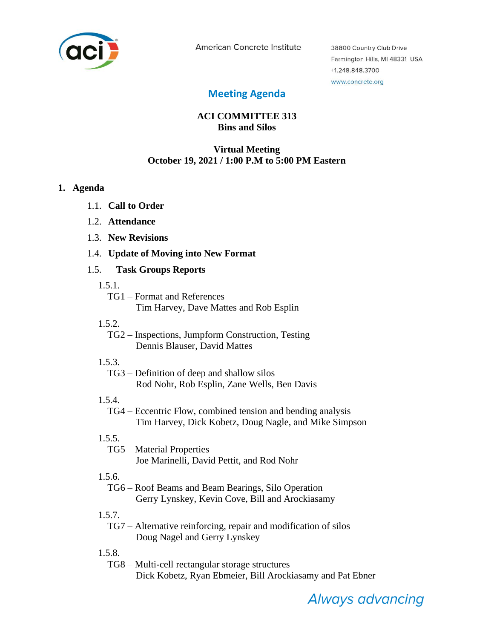

American Concrete Institute

38800 Country Club Drive Farmington Hills, MI 48331 USA +1.248.848.3700 www.concrete.org

## **Meeting Agenda**

## **ACI COMMITTEE 313 Bins and Silos**

### **Virtual Meeting October 19, 2021 / 1:00 P.M to 5:00 PM Eastern**

#### **1. Agenda**

- 1.1. **Call to Order**
- 1.2. **Attendance**
- 1.3. **New Revisions**
- 1.4. **Update of Moving into New Format**

#### 1.5. **Task Groups Reports**

- 1.5.1.
	- TG1 Format and References Tim Harvey, Dave Mattes and Rob Esplin
- 1.5.2.
	- TG2 Inspections, Jumpform Construction, Testing Dennis Blauser, David Mattes
- 1.5.3.

TG3 – Definition of deep and shallow silos Rod Nohr, Rob Esplin, Zane Wells, Ben Davis

1.5.4.

TG4 – Eccentric Flow, combined tension and bending analysis Tim Harvey, Dick Kobetz, Doug Nagle, and Mike Simpson

## 1.5.5.

TG5 – Material Properties Joe Marinelli, David Pettit, and Rod Nohr

## 1.5.6.

TG6 – Roof Beams and Beam Bearings, Silo Operation Gerry Lynskey, Kevin Cove, Bill and Arockiasamy

1.5.7.

TG7 – Alternative reinforcing, repair and modification of silos Doug Nagel and Gerry Lynskey

1.5.8.

TG8 – Multi-cell rectangular storage structures Dick Kobetz, Ryan Ebmeier, Bill Arockiasamy and Pat Ebner